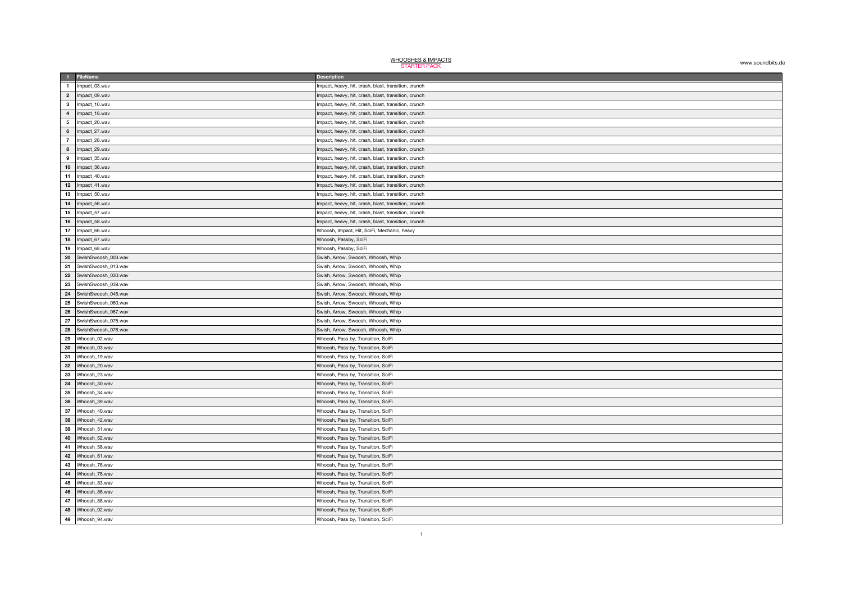| <b>WHOOSHES &amp; IMPACTS</b><br><b>STARTER PACK</b> | www.soundbits.de |
|------------------------------------------------------|------------------|
|------------------------------------------------------|------------------|

|                 | # FileName                          | <b>Description</b>                                                       |
|-----------------|-------------------------------------|--------------------------------------------------------------------------|
| $\blacksquare$  | Impact_03.wav                       | Impact, heavy, hit, crash, blast, transition, crunch                     |
| $\overline{2}$  | Impact_09.wav                       | Impact, heavy, hit, crash, blast, transition, crunch                     |
| $\mathbf{3}$    | Impact_10.wav                       | Impact, heavy, hit, crash, blast, transition, crunch                     |
| $\overline{4}$  | Impact_18.wav                       | Impact, heavy, hit, crash, blast, transition, crunch                     |
| $5\overline{5}$ | Impact_20.wav                       | Impact, heavy, hit, crash, blast, transition, crunch                     |
| 6               | Impact_27.wav                       | Impact, heavy, hit, crash, blast, transition, crunch                     |
| $\overline{7}$  | Impact_28.wav                       | Impact, heavy, hit, crash, blast, transition, crunch                     |
| $\bf{8}$        | Impact_29.wav                       | Impact, heavy, hit, crash, blast, transition, crunch                     |
| 9               | Impact_35.wav                       | Impact, heavy, hit, crash, blast, transition, crunch                     |
| $10\,$          | Impact_36.wav                       | Impact, heavy, hit, crash, blast, transition, crunch                     |
| 11              | Impact_40.wav                       | Impact, heavy, hit, crash, blast, transition, crunch                     |
| 12              | Impact_41.wav                       | Impact, heavy, hit, crash, blast, transition, crunch                     |
| 13              | Impact_50.wav                       | Impact, heavy, hit, crash, blast, transition, crunch                     |
| 14              | Impact_56.wav                       | Impact, heavy, hit, crash, blast, transition, crunch                     |
| 15              | Impact_57.wav                       | Impact, heavy, hit, crash, blast, transition, crunch                     |
| ${\bf 16}$      | Impact_58.wav                       | Impact, heavy, hit, crash, blast, transition, crunch                     |
| 17              | Impact_66.wav                       | Whoosh, Impact, Hit, SciFi, Mechanic, heavy                              |
| 18              | Impact_67.wav                       | Whoosh, Passby, SciFi                                                    |
| 19              | Impact_68.wav                       | Whoosh, Passby, SciFi                                                    |
| 20              | SwishSwoosh_003.wav                 | Swish, Arrow, Swoosh, Whoosh, Whip                                       |
| 21              | SwishSwoosh 013.wav                 | Swish, Arrow, Swoosh, Whoosh, Whip                                       |
| 22              | SwishSwoosh_030.wav                 | Swish, Arrow, Swoosh, Whoosh, Whip                                       |
| 23              | SwishSwoosh_039.wav                 | Swish, Arrow, Swoosh, Whoosh, Whip                                       |
| 24              | SwishSwoosh_045.wav                 | Swish, Arrow, Swoosh, Whoosh, Whip                                       |
| 25              | SwishSwoosh_060.wav                 | Swish, Arrow, Swoosh, Whoosh, Whip                                       |
| 26              | SwishSwoosh_067.wav                 | Swish, Arrow, Swoosh, Whoosh, Whip                                       |
| 27              | SwishSwoosh_075.wav                 | Swish, Arrow, Swoosh, Whoosh, Whip                                       |
| 28              | SwishSwoosh_076.wav                 | Swish, Arrow, Swoosh, Whoosh, Whip                                       |
|                 | 29 Whoosh_02.wav                    | Whoosh, Pass by, Transition, SciFi                                       |
| 30              | Whoosh_03.wav                       | Whoosh, Pass by, Transition, SciFi                                       |
|                 | 31 Whoosh_19.wav                    | Whoosh, Pass by, Transition, SciFi                                       |
| 32              | Whoosh_20.wav                       | Whoosh, Pass by, Transition, SciFi                                       |
|                 | 33 Whoosh_23.wav                    | Whoosh, Pass by, Transition, SciFi                                       |
| 34              | Whoosh_30.wav                       | Whoosh, Pass by, Transition, SciFi                                       |
| 35              | Whoosh_34.wav                       | Whoosh, Pass by, Transition, SciFi                                       |
| 36              | Whoosh_39.wav                       | Whoosh, Pass by, Transition, SciFi                                       |
| 37              | Whoosh_40.wav                       | Whoosh, Pass by, Transition, SciFi                                       |
| ${\bf 38}$      | Whoosh_42.wav                       | Whoosh, Pass by, Transition, SciFi                                       |
| 39              | Whoosh_51.wav                       | Whoosh, Pass by, Transition, SciFi                                       |
| 40              | Whoosh_52.wav<br>41   Whoosh_58.wav | Whoosh, Pass by, Transition, SciFi<br>Whoosh, Pass by, Transition, SciFi |
| 42              | Whoosh_61.wav                       | Whoosh, Pass by, Transition, SciFi                                       |
|                 | 43 Whoosh_76.wav                    | Whoosh, Pass by, Transition, SciFi                                       |
| 44              | Whoosh_78.wav                       | Whoosh, Pass by, Transition, SciFi                                       |
|                 | 45   Whoosh_83.wav                  | Whoosh, Pass by, Transition, SciFi                                       |
| 46              | Whoosh_86.wav                       | Whoosh, Pass by, Transition, SciFi                                       |
| 47              | Whoosh 88.wav                       | Whoosh, Pass by, Transition, SciFi                                       |
| 48              | Whoosh 92.wav                       | Whoosh, Pass by, Transition, SciFi                                       |
|                 | 49 Whoosh 94.wav                    | Whoosh, Pass by, Transition, SciFi                                       |